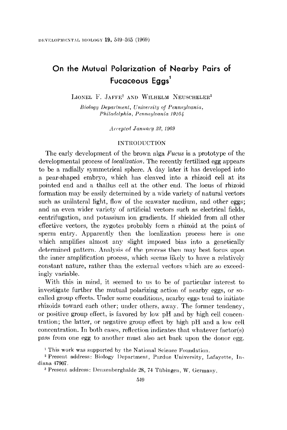# On the Mutual Polarization of Nearby Pairs of Fucaceous Eggs'

LIONEL F. JAFFE<sup>2</sup> AND WILHELM NEUSCHELER<sup>3</sup>

Biology Department, University of Pennsylvania, Philadelphia, Pennsylvania 19104

Accepted January 22, 1969

## INTRODUCTION

The early development of the brown alga Fucus is a prototype of the developmental process of localization. The recently fertilized egg appears to be a radially symmetrical sphere. A day later it has developed into a pear-shaped embryo, which has cleaved into a rhizoid cell at its pointed end and a thallus cell at the other end. The locus of rhizoid formation may be easily determined by a wide variety of natural vectors such as unilateral light, flow of the seawater medium, and other eggs; and an even wider variety of artificial vectors such as electrical fields, centrifugation, and potassium ion gradients. If shielded from all other effective vectors, the zygotes probably form a rhizoid at the point of sperm entry. Apparently then the localization process here is one which amplifies almost any slight imposed bias into a genetically determined pattern. Analysis of the process then may best focus upon the inner amplification process, which seems likely to have a relatively constant nature, rather than the external vectors which are so cxceedingly variable.

With this in mind, it seemed to us to be of particular interest to investigate further the mutual polarizing action of nearby eggs, or socalled group effects. Under some conditions, nearby eggs tend to initiate rhizoids toward each other; under others, away. The former tendency, or positive group effect, is favored by low pH and by high cell concentration; the latter, or negative group effect by high pH and a low cell concentration. In both cases, reflection indicates that whatever factor(s) pass from one egg to another must also act back upon the donor egg.

<sup>&</sup>lt;sup>1</sup> This work was supported by the National Science Foundation.

<sup>&</sup>lt;sup>2</sup> Present address: Biology Department, Purdue University, Lafayette, Indiana 47907.

<sup>&</sup>lt;sup>3</sup> Present address: Denzenberghalde 28, 74 Tübingen, W. Germany.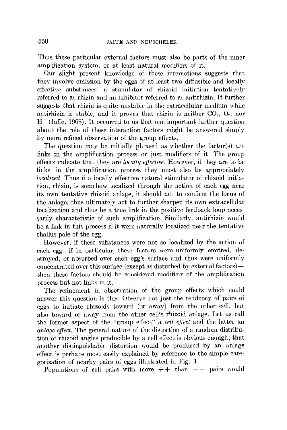Thus these particular external factors must also be parts of the inner amplification system, or at least natural modifiers of it.

Our slight present knowledge of these interactions suggests that they involve emission by the eggs of at least two diffusible and locally effective substances: a stimulator of rhizoid initiation tentatively referred to as rhizin and an inhibitor referred to as antirhizin. It further suggests that rhizin is quite unstable in the extracellular medium while antirhizin is stable, and it proves that rhizin is neither  $CO<sub>2</sub>$ ,  $O<sub>2</sub>$ , nor  $H^+$  (Jaffe, 1968). It occurred to us that one important further question about the role of these interaction factors might be answered simply by more refined observation of the group effects.

The question may be initially phrased as whether the factor(s) are links in the amplification process or just modifiers of it. The group effects indicate that they are locally efective. However, if they are to be links in the amplification process they must also be appropriately localized. Thus if a locally effective natural stimulator of rhizoid initiation, rhizin, is somehow localized through the action of each egg near its own tentative rhizoid anlage, it should act to confirm the locus of the anlage, thus ultimately act to further sharpen its own extracellular localization and thus be a true link in the positive feedback loop necessarily characteristic of such amplification. Similarly, antirhizin would be a link in this process if it were naturally localized near the tentative thallus pole of the egg.

However, if these substances were not so localized by the action of each egg—if in particular, these factors were uniformly emitted, destroyed, or absorbed over each egg's surface and thus were uniformly concentrated over this surface (except as disturbed by external factors)  $$ then these factors should be considered modifiers of the amplification process but not links in it.

The refinement in observation of the group effects which could answer this question is this: Observe not just the tendency of pairs of eggs to initiate rhizoids toward (or away) from the other cell, but also toward or away from the other cell's rhizoid anlage. Let us call the former aspect of the "group effect" a cell effect and the latter an anlage effect. The general nature of the distortion of a random distribution of rhizoid angles producible by a cell effect is obvious enough; that another distinguishable distortion would be produced by an anlage effect is perhaps most easily explained by reference to the simple categorization of nearby pairs of eggs illustrated in Fig. 1.

Populations of cell pairs with more  $++$  than  $--$  pairs would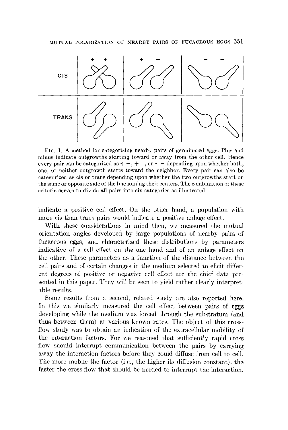

FIG. 1. A method for categorizing nearby pairs of germinated eggs. Plus and minus indicate outgrowths starting toward or away from the other cell. Hence every pair can be categorized as  $++, +-,$  or  $--$  depending upon whether both, one, or neither outgrowth starts toward the neighbor. Every pair can also be categorized as cis or trans depending upon whether the two outgrowths start on the same or opposite side of the line joining their centers. The combination of these criteria serves to divide all pairs into six categories as illustrated.

indicate a positive cell effect. On the other hand, a population with more cis than trans pairs would indicate a positive anlage effect.

With these considerations in mind then, we measured the mutual orientation angles developed by large populations of nearby pairs of fucaceous eggs, and characterized these distributions by parameters indicative of a cell effect on the one hand and of an anlage effect on the other. These parameters as a function of the distance between the cell pairs and of certain changes in the medium selected to elicit different degrees of positive or negative cell effect are the chief data presented in this paper. They will be seen to yield rather clearly interpretable results.

Some results from a second, related study are also reported here. In this we similarly measured the cell effect between pairs of eggs developing while the medium was forced through the substratum (and thus between them) at various known rates. The object of this crossflow study was to obtain an indication of the extracellular mobility of the interaction factors. For we reasoned that sufficiently rapid cross flow should interrupt communication between the pairs by carrying away the interaction factors before they could diffuse from cell to cell. The more mobile the factor (i.e., the higher its diffusion constant), the faster the cross flow that should be needed to interrupt the interaction.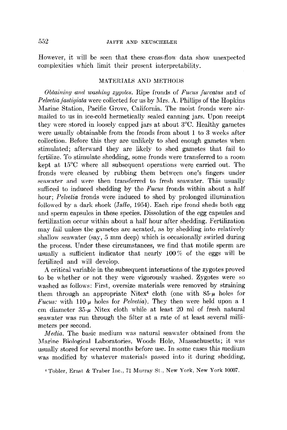However, it will be seen that these cross-flow data show unexpected complexities which limit their present interpretability.

## MATERIALS AND METHODS

Obtaining and washing zygotes. Ripe fronds of Fucus furcatus and of Pelvetia fastigiata were collected for us by Mrs. A. Phillips of the Hopkins Marine Station, Pacific Grove, California. The moist fronds were airmailed to us in ice-cold hermetically sealed canning jars. Upon receipt they were stored in loosely capped jars at about 3°C. Healthy gametes were usually obtainable from the fronds from about 1 to 3 weeks after collection. Before this they are unlikely to shed enough gametes when stimulated; afterward they are likely to shed gametes that fail to fertilize. To stimulate shedding, some fronds were transferred to a room kept at 15°C where all subsequent operations were carried out. The fronds were cleaned by rubbing them between one's fingers under seawater and were then transferred to fresh seawater. This usually sufficed to induced shedding by the Fucus fronds within about a half hour; Pelvetia fronds were induced to shed by prolonged illumination followed by a dark shock (Jaffe, 1954). Each ripe frond sheds both egg and sperm capsules in these species. Dissolution of the egg capsules and fertilization occur within about a half hour after shedding. Fertilization may fail unless the gametes are aerated, as by shedding into relatively shallow seawater (say, 5 mm deep) which is occasionally swirled during the process. Under these circumstances, we find that motile sperm are usually a sufficient indicator that nearly 100% of the eggs will be fertilized and will develop.

A critical variable in the subsequent interactions of the zygotes proved to be whether or not they were vigorously washed. Zygotes were so washed as follows: First, oversize materials were removed by straining them through an appropriate Nitex<sup>4</sup> cloth (one with  $85-\mu$  holes for *Fucus:* with  $110-\mu$  holes for *Pelvetia*). They then were held upon a 1 cm diameter  $35-\mu$  Nitex cloth while at least 20 ml of fresh natural seawater was run through the filter at a rate of at least several millimeters per second.

Media. The basic medium was natural seawater obtained from the Marine Biological Laboratories, Woods Hole, Massachusetts; it was usually stored for several months before use. In some cases this medium was modified by whatever materials passed into it during shedding,

<sup>4</sup> Tobler, Ernst & Traber Inc., 71 Murray St., New York, New York 10007.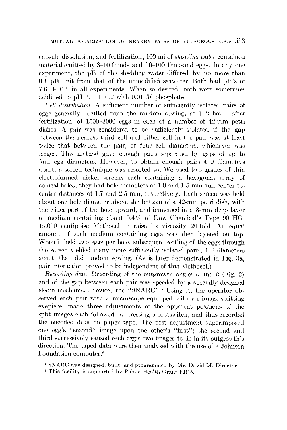capsule dissolution, and fertilization; 100 ml of shedding water contained material emitted by 3-10 fronds and 50-100 thousand eggs. In any one experiment, the pH of the shedding water differed by no more than 0.1 pH unit from that of the unmodified seawater. Both had pH's of 7.6  $\pm$  0.1 in all experiments. When so desired, both were sometimes acidified to pH 6.1  $\pm$  0.2 with 0.01 *M* phosphate.

Cell distribution. A sufficient number of sufficiently isolated pairs of eggs generally resulted from the random sowing, at  $1-2$  hours after fertilization, of  $1500-3000$  eggs in each of a number of  $42$ -mm petri dishes. A pair was considered to be sufficiently isolated if the gap between the nearest third cell and either cell in the pair was at least twice that betxecn the pair, or four cell diameters, whichever was larger. This method gave enough pairs separated by gaps of up to four egg diameters. However, to obtain enough pairs 4-9 diameters apart, a screen technique was resorted to: We used two grades of thin electroformed nickel screens each containing a hexagonal array of conical holes; they had hole diameters of 1.0 and 1.5 mm and center-tocenter distances of  $1.7$  and  $2.5$  mm, respectively. Each screen was held about one hole diameter above the bottom of a 42.mm petri dish, with the wider part of the hole upward, and immersed in a 3-mm deep layer of medium containing about  $0.4\%$  of Dow Chemical's Type 90 HG,  $15,000$  centipoise Methocel to raise its viscosity  $20$ -fold. An equal amount of such medium containing eggs was then layered on top. When it, held two eggs per hole, subsequent settling of the eggs through the screen yielded many more sufficiently isolated pairs, 4-9 diameters apart, than did random sowing. (As is later demonstrated in Iig. 3a, pair interaction proved to be independent of this Methocel.)

*Recording data.* Recording of the outgrowth angles  $\alpha$  and  $\beta$  (Fig. 2) and of the gap between each pair was speeded by a specially designed electromechanical device, the "SNARC".<sup>5</sup> Using it, the operator observed each pair with a microscope equipped with an image-splitting eyepiece, made three adjustments of the apparent positions of the split images each followed by pressing a footswitch, and thus recorded the encoded data on paper tape. The first adjustment superimposed one egg's "second" image upon the other's "first"; the second and third successively caused each egg's two images to lie in its outgrowth's direction. The taped data were then analyzed with the use of a Johnson Foundation computer.6

<sup>&</sup>lt;sup>5</sup> SNARC was designed, built, and programmed by Mr. David M. Director.

<sup>&</sup>lt;sup>6</sup> This facility is supported by Public Health Grant FR15.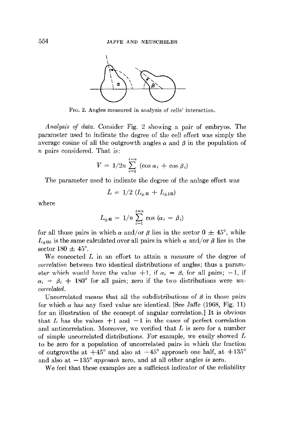

FIG. 2. Angles measured in analysis of cells' interaction.

Analysis of data. Consider Fig. 2 showing a pair of embryos. The parameter used to indicate the degree of the cell effect was simply the average cosine of all the outgrowth angles  $\alpha$  and  $\beta$  in the population of n pairs considered. That is:

$$
V = 1/2n \sum_{i=1}^{i=n} (\cos \alpha_i + \cos \beta_i)
$$

The parameter used to indicate the degree of the anlage effect was

$$
L = 1/2 \ (L_{\pm 45} + L_{\pm 135})
$$

where

$$
L_{\pm 45} = 1/n \sum_{i=1}^{i=n} \cos (\alpha_i - \beta_i)
$$

for all those pairs in which  $\alpha$  and/or  $\beta$  lies in the sector  $0 \pm 45^{\circ}$ , while  $L_{+135}$  is the same calculated over all pairs in which  $\alpha$  and/or  $\beta$  lies in the sector  $180 \pm 45^{\circ}$ .

We concocted  $L$  in an effort to attain a measure of the degree of correlation between two identical distributions of angles; thus a parameter which would have the value  $+1$ , if  $\alpha_i = \beta_i$  for all pairs;  $-1$ , if  $\alpha_i = \beta_i + 180^{\circ}$  for all pairs; zero if the two distributions were uncorrelated.

Uncorrelated means that all the subdistributions of  $\beta$  in those pairs for which  $\alpha$  has any fixed value are identical. [See Jaffe (1968, Fig. 11) for an illustration of the concept of angular correlation.] It is obvious that L has the values  $+1$  and  $-1$  in the cases of perfect correlation and anticorrelation. Moreover, we verified that  $L$  is zero for a number of simple uncorrelated distributions. For example, we easily showed L to be zero for a population of uncorrelated pairs in which the fraction of outgrowths at  $+45^{\circ}$  and also at  $-45^{\circ}$  approach one half, at  $+135^{\circ}$ and also at  $-135^{\circ}$  approach zero, and at all other angles is zero.

We feel that these examples are a sufficient indicator of the reliability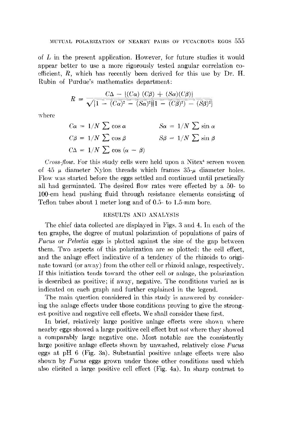of L in the present application. However, for future studies it would appear better to use a more rigorously tested angular correlation coefficient,  $R$ , which has recently been derived for this use by Dr. H. Rubin of Purdue's mathematics department:

$$
R = \frac{C\Delta - [(C\alpha) (C\beta) + (S\alpha)(C\beta)]}{\sqrt{[1 - (C\alpha)^2 - (S\alpha)^2][1 - (C\beta)^2] - (S\beta)^2]}}
$$

where

$$
C\alpha = 1/N \sum \cos \alpha
$$
  
\n
$$
C\beta = 1/N \sum \cos \beta
$$
  
\n
$$
S\alpha = 1/N \sum \sin \alpha
$$
  
\n
$$
S\beta = 1/N \sum \sin \beta
$$
  
\n
$$
C\Delta = 1/N \sum \cos (\alpha - \beta)
$$

Cross-flow. For this study cells were held upon a Nitex<sup>4</sup> screen woven of 45  $\mu$  diameter Nylon threads which frames  $35-\mu$  diameter holes. Flow was started before the eggs settled and continued until practically all had germinated. The desired flow rates were effected by a SO- to lOO-cm head pushing fluid through resistance elements consisting of Teflon tubes about 1 meter long and of 0.3. to 1.5mm bore.

### RESULTS AND ANALYSIS

The chief data collected are displayed in Figs. 3 and 4. In each of the ten graphs, the degree of mutual polarization of populations of pairs of Fucus or Pelvetia eggs is plotted against the size of the gap between them. Two aspects of this polarization are so plotted: the cell effect, and the anlage effect indicative of a tendency of the rhizoids to originate toward (or away) from the other cell or rhizoid anlage, respectively. If this initiation tends toward the other cell or anlage, the polarization is described as positive; if away, negative. The conditions varied as is indicated on each graph and further explained in the legend.

The main question considered in this study is answered by considering the anlage effects under those conditions proving to give the strongest positive and negative cell effects. We shall consider these first.

In brief, relatively large positive anlage effects were shown where nearby eggs showed a large positive cell effect but *not* where they showed a comparably large negative one. Most notable are the consistently large positive anlage effects shown by unwashed, relatively close Fucus eggs at pH 6 (Fig. 3a). Substantial positive anlage effects were also shown by Fucus eggs grown under those other conditions used which also elicited a large positive cell effect (Fig. 4a). In sharp contrast to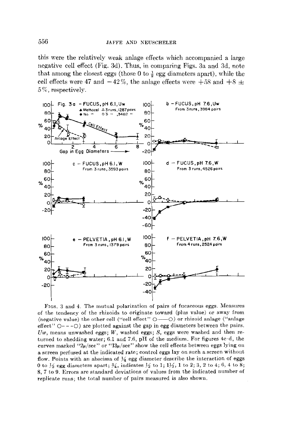this were the relatively weak anlage effects which accompanied a large negative cell effect (Fig. 3d). Thus, in comparing Figs. 3a and 3d, note that among the closest eggs (those 0 to  $\frac{1}{2}$  egg diameters apart), while the cell effects were 47 and  $-42\%$ , the anlage effects were  $+58$  and  $+8 \pm \frac{1}{2}$ 5 %, respectively.



FIGS. 3 and 4. The mutual polarization of pairs of fucaceous eggs. Measures of the tendency of the rhizoids to originate toward (plus value) or away from (negative value) the other cell ("cell effect"  $\bigcirc$ — $\bigcirc$ ) or rhizoid anlage ("anlage effect"  $Q$ --- $Q$ ) are plotted against the gap in egg diameters between the pairs. Uw, means unwashed eggs; W, washed eggs; S, eggs were washed and then returned to shedding water; 6.1 and 7.6, pH of the medium. For figures  $4c-d$ , the curves marked " $2\mu/sec$ " or " $13\mu/sec$ " show the cell effects between eggs lying on a screen perfused at the indicated rate; control eggs lay on such a screen without flow. Points with an abscissa of  $\frac{1}{4}$  egg diameter describe the interaction of eggs 0 to  $\frac{1}{2}$  egg diameters apart;  $\frac{3}{4}$ , indicates  $\frac{1}{2}$  to 1; 1 $\frac{1}{2}$ , 1 to 2; 3, 2 to 4; 6, 4 to 8; 8, 7 to 9. Errors are standard deviations of values from the indicated number of replicate runs; the total number of pairs measured is also shown.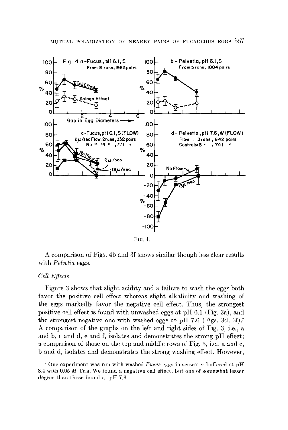

FIG. 4.

A comparison of Figs. 4b and 3f shows similar though less clear results with *Pelvetia* eggs.

#### Cell Effects

Figure 3 shows that slight acidity and a failure to wash the eggs both favor the positive cell effect whereas slight alkalinity and washing of the eggs markedly favor the negative cell effect. Thus, the strongest positive cell effect is found with unwashed eggs at pH 6.1 (Fig. 3a), and the strongest negative one with washed eggs at pH 7.6 (Figs. 3d, 3f).7 A comparison of the graphs on the left and right sides of Fig. 3, i.e., a and b, c and d, e and f, isolates and demonstrates the strong pH effect; a comparison of those on the top and middle rows of Fig. 3, i.e., a and c, b and d, isolates and demonstrates the strong washing effect. However,

<sup>7</sup> One experiment was run with washed  $Fucus$  eggs in seawater buffered at pH 8.4 with 0.05  $M$  Tris. We found a negative cell effect, but one of somewhat lesser degree than those found at pH 7.6.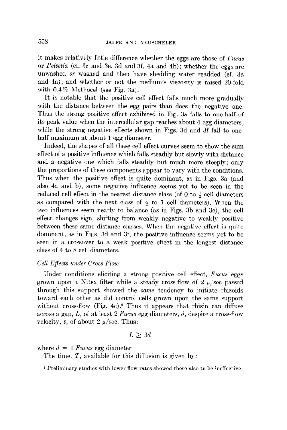it makes relatively little difference whether the eggs are those of Fucus or Pelvetia (cf. 3c and 3e, 3d and 3f, 4a and 4b); whether the eggs are unwashed or washed and then have shedding water readded (cf. 3a and 4a); and whether or not the medium's viscosity is raised 20-fold with 0.4% Methocel (see Fig. 3a).

It is notable that the positive cell effect falls much more gradually with the distance between the egg pairs than does the negative one. Thus the strong positive effect exhibited in Fig. 3a falls to one-half of its peak value when the intercellular gap reaches about 4 egg diameters; while the strong negative effects shown in Figs. 3d and 3f fall to onehalf maximum at about 1 egg diameter.

Indeed, the shapes of all these cell effect curves seem to show the sum effect of a positive influence which falls steadily but slowly with distance and a negative one which falls steadily but much more steeply; only the proportions of these components appear to vary with the conditions. Thus when the positive effect is quite dominant, as in Figs. 3a (and also 4a and b), some negative influence seems yet to be seen in the reduced cell effect in the nearest distance class (of 0 to  $\frac{1}{2}$  cell diameters as compared with the next class of  $\frac{1}{2}$  to 1 cell diameters). When the two influences seem nearly to balance (as in Figs. 3b and 3c), the cell effect changes sign, shifting from weakly negative to weakly positive between these same distance classes. When the negative effect is quite dominant, as in Figs. 3d and 3f, the positive influence seems yet to be seen in a crossover to a weak positive effect in the longest distance class of 4 to S cell diameters.

#### Cell Effects under Cross-Flow

Under conditions eliciting a strong positive cell effect, Fucus eggs grown upon a Nitex filter while a steady cross-flow of 2  $\mu$ /sec passed through this support showed the same tendency to initiate rhizoids toward each other as did control cells grown upon the same support without cross-flow (Fig. 4c).<sup>8</sup> Thus it appears that rhizin can diffuse across a gap, L, of at least 2 Fucus egg diameters, d, despite a cross-flow velocity, v, of about 2  $\mu$ /sec. Thus:

$$
L \geq 3d
$$

where  $d = 1$  Fucus egg diameter

The time,  $T$ , available for this diffusion is given by:

8 Preliminary studies with lower flow rates showed these also to be ineffective.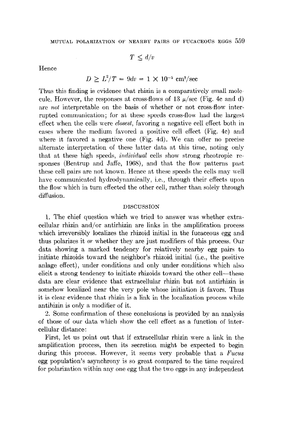$$
T\,\leq\,d/v
$$

Hence

$$
D \geq L^2/T = 9dv = 1 \times 10^{-5} \text{ cm}^2/\text{sec}
$$

Thus this finding is evidence that rhizin is a comparatively small molecule. However, the responses at cross-flows of 13  $\mu$ /sec (Fig. 4c and d) are *not* interpretable on the basis of whether or not cross-flow interrupted communication; for at these speeds cross-flow had the largest effect when the cells were closest, favoring a negative cell effect both in cases where the medium favored a positive cell effect (Fig. 4c) and where it favored a negative one (Fig. 4d). We can offer no precise alternate interpretation of these latter data at this time, noting only that at these high speeds, individual cells show strong rheotropic responses (Bentrup and Jaffe, 1968), and that the flow patterns past these cell pairs are not known. Hence at these speeds the cells may well have communicated hydrodynamically, i.e., through their effects upon the flow which in turn effected the other cell, rather than solely through diffusion.

#### DISCUSSION

1. The chief question which we tried to answer was whether extracellular rhizin and/or antirhizin are links in the amplification process which irreversibly localizes the rhizoid initial in the fucaceous egg and thus polarizes it or whether they are just modifiers of this process. Our data showing a marked tendency for relatively nearby egg pairs to initiate rhizoids toward the neighbor's rhizoid initial (i.e., the positive anlage effect), under conditions and only under conditions which also elicit a strong tendency to initiate rhizoids toward the other cell—these data are clear evidence that extracellular rhizin but not antirhizin is somehow localized near the very pole whose initiation it favors. Thus it is clear evidence that rhizin is a link in the localization process while antihizin is only a modifier of it.

2. Some confirmation of these conclusions is provided by an analysis of those of our data which show the cell effect as a function of intercellular distance:

First, let us point out that if extracellular rhizin were a link in the amplification process, then its secretion might be expected to begin during this process. However, it seems very probable that a Fucus egg population's asynchrony is so great compared to the time required for polarization within any one egg that the two eggs in any independent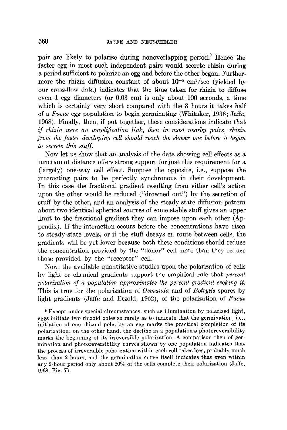pair are likely to polarize during nonoverlapping period? Hence the faster egg in most such independent pairs would secrete rhizin during a period sufficient to polarize an egg and before the other began. Furthermore the rhizin diffusion constant of about  $10^{-5}$  cm<sup>2</sup>/sec (yielded by our cross-flow data) indicates that the time taken for rhizin to diffuse even 4 egg diameters (or 0.03 cm) is only about 100 seconds, a time which is certainly very short compared with the 3 hours it takes half of a Fucus egg population to begin germinating (Whitaker, 1936; Jaffe, 1968). Finally, then, if put together, these considerations indicate that if rhizin were an amplification link, then in most nearby pairs, rhizin from the faster developing cell should reach the slower one before it began to secrete this stuff.

Now let us show that an analysis of the data showing cell effects as a function of distance offers strong support for just this requirement for a (largely) one-way cell effect. Suppose the opposite, i.e., suppose the interacting pairs to be perfectly synchronous in their development. In this case the fractional gradient resulting from either cell's action upon the other would be reduced ("drowned out") by the secretion of stuff by the other, and an analysis of the steady-state diffusion pattern about two identical spherical sources of some stable stuff gives an upper limit to the fractional gradient they can impose upon each other (Appendix). If the interaction occurs before the concentrations have risen to steady-state levels, or if the stuff decays en route between cells, the gradients will be yet lower because both these conditions should reduce the concentration provided by the "donor" cell more than they reduce those provided by the "receptor" cell.

Now, the available quantitative studies upon the polarization of cells by light or chemical gradients support the empirical rule that percent polarization of a population approximates the percent gradient evoking it. This is true for the polarization of *Osmunda* and of *Botrytis* spores by light gradients (Jaffe and Etzold, 1962), of the polarization of Fucus

9 Except under special circumstances, such as illumination by polarized light, eggs initiate two rhizoid poles so rarely as to indicate that the germination, i.e., initiation of one rhizoid pole, by an egg marks the practical completion of its polarization; on the other hand, the decline in a population's photoreversibility marks the beginning of its irreversible polarization. A comparison then of germination and photoreversibility curves shown by one population indicates that the process of irreversible polarization within each cell takes less, probably much less, than 2 hours, and the germination curve itself indicates that even within any 2-hour period only about  $20\%$  of the cells complete their polarization (Jaffe, 1968, Fig. 71.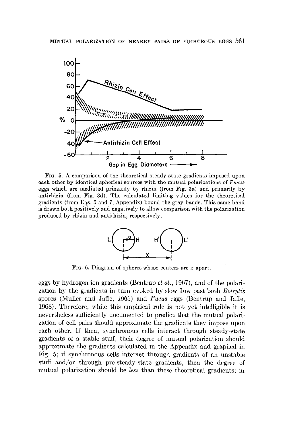

FIG. 5. A comparison of the theoretical steady-state gradients imposed upon each other by identical spherical sources with the mutual polarizations of Fucus eggs which are mediated primarily by rhizin (from Fig. 3a) and primarily by antirhizin (from Fig. 3d). The calculated limiting values for the theoretical gradients (from Eqs. 5 and 7, Appendix) bound the gray bands. This same band is drawn both positively and negatively to allow comparison with the polarization produced by rhizin and antirhizin, respectively.



FIG. G. Diagram of spheres whose centers are z apart.

eggs by hydrogen ion gradients (Bentrup  $et al., 1967$ ), and of the polarization by the gradients in turn evoked by slow flow past both Botrytis spores (Müller and Jaffe, 1965) and  $Fucus$  eggs (Bentrup and Jaffe, 1968). Therefore, while this empirical rule is not yet intelligible it is nevertheless sufficiently documented to predict that the mutual polarization of cell pairs should approximate the gradients they impose upon each other. If then, synchronous cells interact through steady-state gradients of a stable stuff, their degree of mutual polarization should approximate the gradients calculated in the Appendix and graphed in Fig. 5; if synchronous cells interact through gradients of an unstable stuff and/or through pre-steady-state gradients, then the degree of mutual polarization should be less than these theoretical gradients; in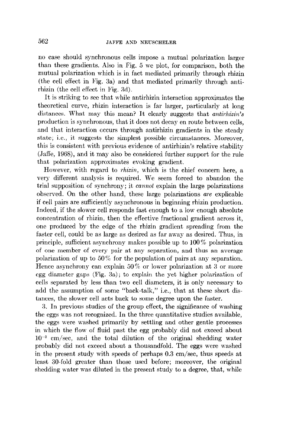no case should synchronous cells impose a mutual polarization larger than these gradients. Also in Fig. 5 we plot, for comparison, both the mutual polarization which is in fact mediated primarily through rhizin (the cell effect in Pig. 3a) and that mediated primarily through antirhizin (the cell effect in Pig. 3d).

It is striking to see that while antirhizin interaction approximates the theoretical curve, rhizin interaction is far larger, particularly at long distances. What may this mean? It clearly suggests that antirhizin's production is synchronous, that it does not decay en route between cells, and that interaction occurs through antirhizin gradients in the steady state; i.e., it suggests the simplest possible circumstances. Moreover, this is consistent with previous evidence of antirhizin's relative stability (Jaffe, 1968), and it may also be considered further support for the rule that polarization approximates evoking gradient.

However, with regard to rhizin, which is the chief concern here, a very different analysis is required. We seem forced to abandon the trial supposition of synchrony; it cannot explain the large polarizations observed. On the other hand, these large polarizations are explicable if cell pairs are sufficiently asynchronous in beginning rhizin production. Indeed, if the slower cell responds fast enough to a low enough absolute concentration of rhizin, then the effective fractional gradient across it, one produced by the edge of the rhizin gradient spreading from the faster cell, could be as large as desired as far away as desired. Thus, in principle, sufficient asynchrony makes possible up to 100 % polarization of one member of every pair at any separation, and thus an average polarization of up to 50% for the population of pairs at any separation. Hence asynchrony can explain 50% or lower polarization at 3 or more egg diameter gaps (Fig. 3a) ; to explain the yet higher polarization of cells separated by less than two cell diameters, it is only necessary to add the assumption of some "back-talk," i.e., that at these short distances, the slower cell acts back to some degree upon the faster.

3. In previous studies of the group effect, the significance of washing the eggs was not recognized. In the three quantitative studies available, the eggs were washed primarily by settling and other gentle processes in which the flow of fluid past the egg probably did not exceed about  $10^{-2}$  cm/sec, and the total dilution of the original shedding water probably did not exceed about a thousandfold. The eggs were washed in the present study with speeds of perhaps 0.3 cm/see, thus speeds at least 30-fold greater than those used before; moreover, the original shedding water was diluted in the present study to a degree, that, while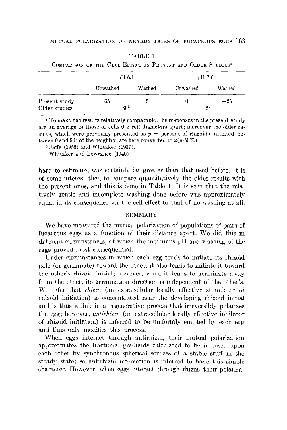|               | pH <sub>6.1</sub> |        | pH 7.6   |        |
|---------------|-------------------|--------|----------|--------|
|               | Unwashed          | Washed | Unwashed | Washed |
| Present study | 65                |        |          | $-25$  |
| Older studies | 80 <sup>b</sup>   |        | $-5c$    |        |

TABLE 1 COMPARISON OF THE CELL EFFECT IN PRESENT AND OLDER STUDIES<sup>®</sup>

a To make the results relatively comparable, the responses in the present study are an average of those of cells O-2 cell diameters apart; moreover the older results, which were prevously presented as  $p =$  percent of rhizoids initiated between 0 and 90 $^{\circ}$  of the neighbor are here converted to  $2(p-50\%)$ 

 $b$  Jaffe (1955) and Whitaker (1937).

 $\degree$  Whitaker and Lowrance (1940).

hard to estimate, was certainly far greater than that used before. It is of some interest then to compare quantitatively the older results with the present ones, and this is done in Table 1. It is seen that the relatively gentle and incomplete washing done before was approximately equal in its consequence for the cell effect to that of no washing at all.

#### SUMMARY

We have measured the mutual polarization of populations of pairs of fucaceous eggs as a function of their distance apart. We did this in different circumstances, of which the medium's pH and washing of the eggs proved most consequential.

Under circumstances in which each egg tends to initiate its rhizoid pole (or germinate) toward the other, it also tends to initiate it toward the other's rhizoid initial; however, when it tends to germinate away from the other, its germination direction is independent of the other's. We infer that *rhizin* (an extracellular locally effective stimulator of rhizoid initiation) is concentrated near the developing rhizoid initial and is thus a link in a regenerative process that irreversibly polarizes the egg; however, *antirhizin* (an extracellular locally effective inhibitor of rhizoid initiation) is inferred to be uniformly emitted by each egg and thus only modifies this process.

When eggs interact through antirhizin, their mutual polarization approximates the fractional gradients calculated to be imposed upon each other by synchronous spherical sources of a stable stuff in the steady state; so antirhizin interaction is inferred to have this simple character. However, when eggs interact through rhizin, their polariza-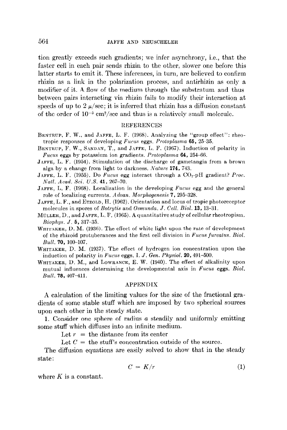tion greatly exceeds such gradients; we infer asynchrony, i.e., that the faster cell in each pair sends rhizin to the other, slower one before this latter starts to emit it. These inferences, in turn, are believed to confirm rhizin as a link in the polarization process, and antirhizin as only a modifier of it. A flow of the medium through the substratum and thus between pairs interacting via rhizin fails to modify their interaction at speeds of up to 2  $\mu$ /sec; it is inferred that rhizin has a diffusion constant of the order of  $10^{-5}$  cm<sup>2</sup>/sec and thus is a relatively small molecule.

#### REFERENCES

- BENTRUP, F. W., and JAFFE, L. F. (1968). Analyzing the "group effect": rheotropic responses of developing Fucus eggs. Protoplasma 66, 25-35.
- BENTRUP, F. W., SANDAN, T., and JAFFE, L. F. (19G7). Induction of polarity in Fucus eggs by potassium ion gradients. Protoplasma 64, 254-66.
- JAFFE, L. F. (1954). Stimulation of the discharge of gametangia from a brown alga by a change from light to darkness. Nature  $174$ , 743.
- JAFFE, L. F. (1955). Do Fucus egg interact through a  $CO_2$ -pH gradient? Proc. Natl. Acad. Sci. U.S. 41, 267-70.

JAFFE, L. F. (1968). Localization in the developing Fucus egg and the general role of localizing currents.  $Advan$ . Morphogenesis 7, 295-328.

JAFFE, L. F., and ETZOLD, H. (1962). Orientation and locus of tropic photoreceptor molecules in spores of Botrytis and Osmunda. J. Cell. Biol. 13, 13-31.

- MÜLLER, D., and JAFFE, L. F. (1965). A quantitative study of cellular rheotropism. Biophys. J. 6, 317-35.
- WHITAKER, D. M. (1936). The effect of white light upon the rate of development of the rhizoid protuberances and the first cell division in Fucus furcatus. Biol.  $Bull.$  70, 100-107.
- WHITAKER, D. M. (1937). The effect of hydrogen ion concentration upon the induction of polarity in Fucus eggs. I. J. Gen. Physiol. 20, 491-500.
- WHITAKER, D. M., and LOWRANCE, E. W. (1940). The effect of alkalinity upon mutual influences determining the developmental axis in Fucus eggs. Biol. Bull. 78,407-411.

#### APPENDIX

A calculation of the limiting values for the size of the fractional gradients of some stable stuff which are imposed by two spherical sources upon each other in the steady state.

1. Consider one sphere of radius  $a$  steadily and uniformly emitting some stuff which diffuses into an infinite medium.

Let  $r =$  the distance from its center

Let  $C =$  the stuff's concentration outside of the source.

The diffusion equations are easily solved to show that in the steady state :

$$
C = K/r \tag{1}
$$

where  $K$  is a constant.